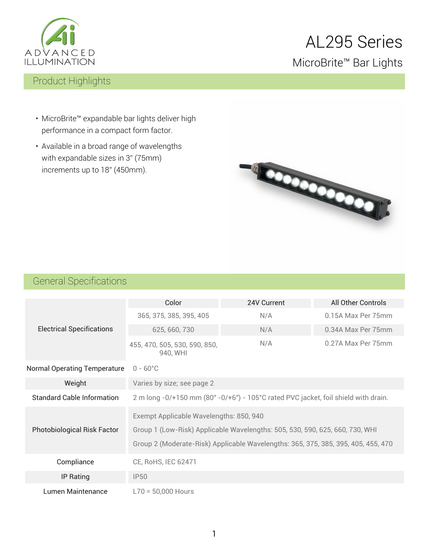

# AL295 Series MicroBrite™ Bar Lights

### Product Highlights

- MicroBrite™ expandable bar lights deliver high performance in a compact form factor.
- Available in a broad range of wavelengths with expandable sizes in 3" (75mm) increments up to 18" (450mm).



### General Specifications

| <b>Electrical Specifications</b>    | Color<br>24V Current                                                               |  | All Other Controls |  |
|-------------------------------------|------------------------------------------------------------------------------------|--|--------------------|--|
|                                     | 365, 375, 385, 395, 405<br>N/A                                                     |  | 0.15A Max Per 75mm |  |
|                                     | 625, 660, 730<br>N/A                                                               |  | 0.34A Max Per 75mm |  |
|                                     | N/A<br>455, 470, 505, 530, 590, 850,<br>940, WHI                                   |  | 0.27A Max Per 75mm |  |
| <b>Normal Operating Temperature</b> | $0 - 60^{\circ}$ C                                                                 |  |                    |  |
| Weight                              | Varies by size; see page 2                                                         |  |                    |  |
| <b>Standard Cable Information</b>   | 2 m long -0/+150 mm (80" -0/+6") - 105°C rated PVC jacket, foil shield with drain. |  |                    |  |
|                                     | Exempt Applicable Wavelengths: 850, 940                                            |  |                    |  |
| <b>Photobiological Risk Factor</b>  | Group 1 (Low-Risk) Applicable Wavelengths: 505, 530, 590, 625, 660, 730, WHI       |  |                    |  |
|                                     | Group 2 (Moderate-Risk) Applicable Wavelengths: 365, 375, 385, 395, 405, 455, 470  |  |                    |  |
| Compliance                          | CE, RoHS, IEC 62471                                                                |  |                    |  |
| <b>IP Rating</b>                    | <b>IP50</b>                                                                        |  |                    |  |
| Lumen Maintenance                   | $L70 = 50,000$ Hours                                                               |  |                    |  |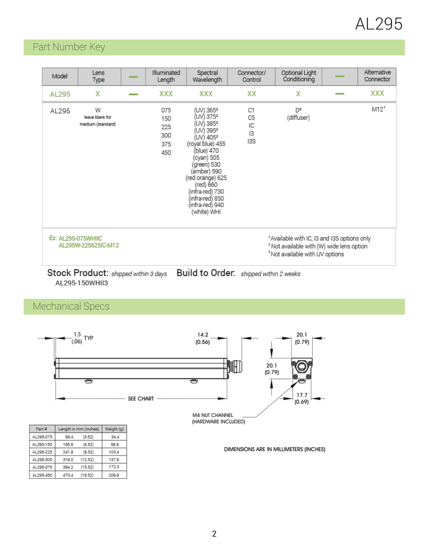# AL295

### Part Number Key

| Model                                                                                                                                                                                          | Lens<br>Type                              |  | Illuminated<br>Length                  | Spectral<br>Wavelength                                                                                                                                                                                                                                                                   | Connector/<br>Control                   | Optional Light<br>Conditioning | Alternative<br>Connector |
|------------------------------------------------------------------------------------------------------------------------------------------------------------------------------------------------|-------------------------------------------|--|----------------------------------------|------------------------------------------------------------------------------------------------------------------------------------------------------------------------------------------------------------------------------------------------------------------------------------------|-----------------------------------------|--------------------------------|--------------------------|
| AL295                                                                                                                                                                                          | х                                         |  | XXX                                    | XXX                                                                                                                                                                                                                                                                                      | XX                                      | х                              | XXX                      |
| AL295                                                                                                                                                                                          | W<br>leave blank for<br>medium (standard) |  | 075<br>150<br>225<br>300<br>375<br>450 | (UV) 365 <sup>2</sup><br>(UV) 375ª<br>(UV) 385ª<br>(UV) 395 <sup>2</sup><br>(UV) 405 <sup>2</sup><br>(royal blue) 455<br>(blue) 470<br>(cyan) 505<br>(green) 530<br>(amber) 590<br>(red orange) 625<br>(red) 660<br>(infra-red) 730<br>(infra-red) 850<br>(infra-red) 940<br>(white) WHI | C1<br>C <sub>5</sub><br>IC<br>13<br>I3S | D <sup>3</sup><br>(diffuser)   | M12 <sup>1</sup>         |
| 'Available with IC, I3 and I3S options only<br>EX: AL295-075WHIIC<br>AL295W-225625IC-M12<br><sup>2</sup> Not available with (W) wide lens option<br><sup>3</sup> Not available with UV options |                                           |  |                                        |                                                                                                                                                                                                                                                                                          |                                         |                                |                          |
| Stock Product: shipped within 3 days<br>Build to Order.<br>shipped within 2 weeks                                                                                                              |                                           |  |                                        |                                                                                                                                                                                                                                                                                          |                                         |                                |                          |

AL295-150WHII3

## Mechanical Specs

AL295-450

470.4

 $(18.52)$ 

206.8

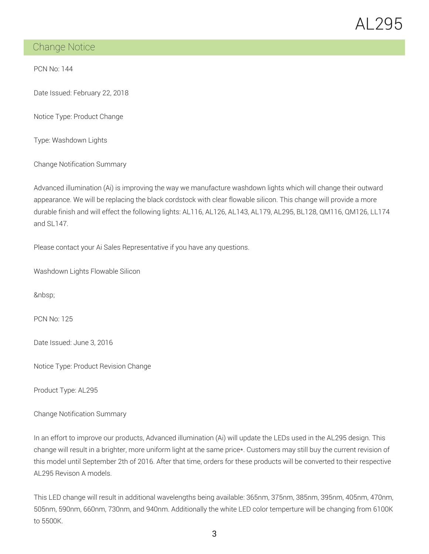

### Change Notice

PCN No: 144

Date Issued: February 22, 2018

Notice Type: Product Change

Type: Washdown Lights

Change Notification Summary

Advanced illumination (Ai) is improving the way we manufacture washdown lights which will change their outward appearance. We will be replacing the black cordstock with clear flowable silicon. This change will provide a more durable finish and will effect the following lights: AL116, AL126, AL143, AL179, AL295, BL128, QM116, QM126, LL174 and SL147.

Please contact your Ai Sales Representative if you have any questions.

Washdown Lights Flowable Silicon

PCN No: 125

Date Issued: June 3, 2016

Notice Type: Product Revision Change

Product Type: AL295

Change Notification Summary

In an effort to improve our products, Advanced illumination (Ai) will update the LEDs used in the AL295 design. This change will result in a brighter, more uniform light at the same price\*. Customers may still buy the current revision of this model until September 2th of 2016. After that time, orders for these products will be converted to their respective AL295 Revison A models.

This LED change will result in additional wavelengths being available: 365nm, 375nm, 385nm, 395nm, 405nm, 470nm, 505nm, 590nm, 660nm, 730nm, and 940nm. Additionally the white LED color temperture will be changing from 6100K to 5500K.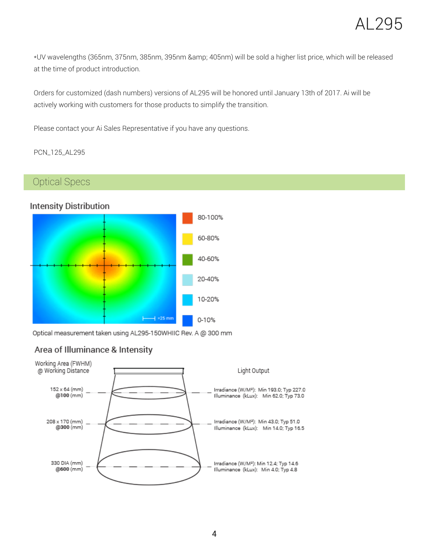\*UV wavelengths (365nm, 375nm, 385nm, 395nm & 405nm) will be sold a higher list price, which will be released at the time of product introduction.

Orders for customized (dash numbers) versions of AL295 will be honored until January 13th of 2017. Ai will be actively working with customers for those products to simplify the transition.

Please contact your Ai Sales Representative if you have any questions.

PCN\_125\_AL295

### Optical Specs

#### **Intensity Distribution**



Optical measurement taken using AL295-150WHIIC Rev. A @ 300 mm

#### Area of Illuminance & Intensity

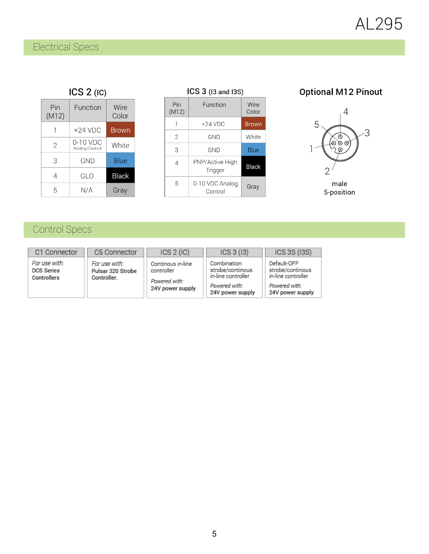## Electrical Specs

### $ICS 2 (IC)$

| Pin<br>(M12) | Function                   | Wire<br>Color |
|--------------|----------------------------|---------------|
|              | +24 VDC                    | Brown         |
| 2            | 0-10 VDC<br>Analog Control | White         |
| З            | GND                        | Blue          |
|              | GI O                       | <b>Black</b>  |
| 5            | N/A                        | Gray          |

| $ICS$ $3$ (13 and 13S) |                            |               |  |
|------------------------|----------------------------|---------------|--|
| Pin<br>(M12)           | Function                   | Wire<br>Color |  |
|                        | $+24$ VDC                  | <b>Brown</b>  |  |
| 2                      | GND                        | White         |  |
| 3                      | GND                        | Blue          |  |
| 4                      | PNP/Active High<br>Trigger | <b>Black</b>  |  |
| 5                      | 0-10 VDC Analog<br>Control | Gray          |  |

### **Optional M12 Pinout**



male<br>5-position

# Control Specs

| C1 Connector                                      | C5 Connector                                      | ICS 2 (IC)                                                           | ICS 3 (13)                                                                                 | ICS 3S (I3S)                                                                               |
|---------------------------------------------------|---------------------------------------------------|----------------------------------------------------------------------|--------------------------------------------------------------------------------------------|--------------------------------------------------------------------------------------------|
| For use with:<br><b>DCS Series</b><br>Controllers | For use with:<br>Pulsar 320 Strobe<br>Controller. | Continous in-line<br>controller<br>Powered with:<br>24V power supply | Combination<br>strobe/continous<br>in-line controller<br>Powered with:<br>24V power supply | Default-OFF<br>strobe/continous<br>in-line controller<br>Powered with:<br>24V power supply |